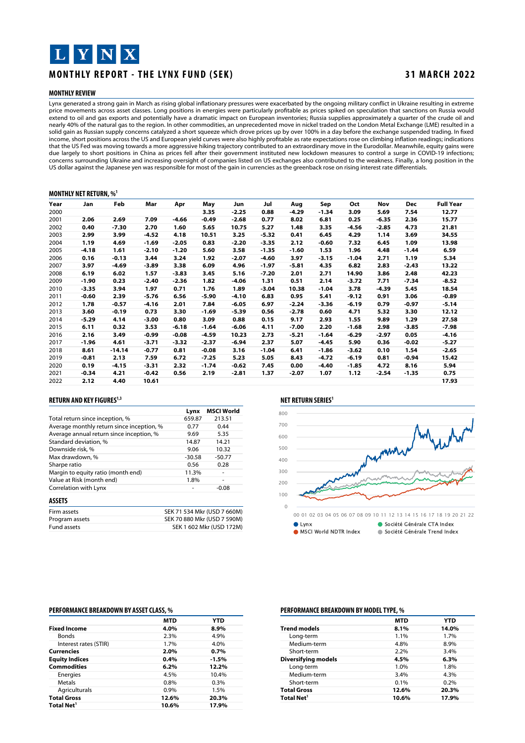## L Y N X

### **MONTHLY REPORT - THE LYNX FUND (SEK) 31 MARCH 2022**

#### **MONTHLY REVIEW**

Lynx generated a strong gain in March as rising global inflationary pressures were exacerbated by the ongoing military conflict in Ukraine resulting in extreme price movements across asset classes. Long positions in energies were particularly profitable as prices spiked on speculation that sanctions on Russia would extend to oil and gas exports and potentially have a dramatic impact on European inventories; Russia supplies approximately a quarter of the crude oil and nearly 40% of the natural gas to the region. In other commodities, an unprecedented move in nickel traded on the London Metal Exchange (LME) resulted in a solid gain as Russian supply concerns catalyzed a short squeeze which drove prices up by over 100% in a day before the exchange suspended trading. In fixed income, short positions across the US and European yield curves were also highly profitable as rate expectations rose on climbing inflation readings; indications that the US Fed was moving towards a more aggressive hiking trajectory contributed to an extraordinary move in the Eurodollar. Meanwhile, equity gains were due largely to short positions in China as prices fell after their government instituted new lockdown measures to control a surge in COVID-19 infections; concerns surrounding Ukraine and increasing oversight of companies listed on US exchanges also contributed to the weakness. Finally, a long position in the US dollar against the Japanese yen was responsible for most of the gain in currencies as the greenback rose on rising interest rate differentials.

#### **MONTHLY NET RETURN,% 1**

| Year | Jan     | Feb      | Mar     | Apr     | May     | Jun     | Jul     | Aug     | Sep     | Oct     | Nov     | Dec     | <b>Full Year</b> |
|------|---------|----------|---------|---------|---------|---------|---------|---------|---------|---------|---------|---------|------------------|
| 2000 |         |          |         |         | 3.35    | $-2.25$ | 0.88    | $-4.29$ | $-1.34$ | 3.09    | 5.69    | 7.54    | 12.77            |
| 2001 | 2.06    | 2.69     | 7.09    | $-4.66$ | $-0.49$ | $-2.68$ | 0.77    | 8.02    | 6.81    | 0.25    | $-6.35$ | 2.36    | 15.77            |
| 2002 | 0.40    | $-7.30$  | 2.70    | 1.60    | 5.65    | 10.75   | 5.27    | 1.48    | 3.35    | $-4.56$ | $-2.85$ | 4.73    | 21.81            |
| 2003 | 2.99    | 3.99     | $-4.52$ | 4.18    | 10.51   | 3.25    | $-5.32$ | 0.41    | 6.45    | 4.29    | 1.14    | 3.69    | 34.55            |
| 2004 | 1.19    | 4.69     | $-1.69$ | $-2.05$ | 0.83    | $-2.20$ | $-3.35$ | 2.12    | -0.60   | 7.32    | 6.45    | 1.09    | 13.98            |
| 2005 | $-4.18$ | 1.61     | $-2.10$ | $-1.20$ | 5.60    | 3.58    | $-1.35$ | $-1.60$ | 1.53    | 1.96    | 4.48    | $-1.44$ | 6.59             |
| 2006 | 0.16    | $-0.13$  | 3.44    | 3.24    | 1.92    | $-2.07$ | $-4.60$ | 3.97    | $-3.15$ | $-1.04$ | 2.71    | 1.19    | 5.34             |
| 2007 | 3.97    | $-4.69$  | $-3.89$ | 3.38    | 6.09    | 4.96    | $-1.97$ | $-5.81$ | 4.35    | 6.82    | 2.83    | $-2.43$ | 13.22            |
| 2008 | 6.19    | 6.02     | 1.57    | $-3.83$ | 3.45    | 5.16    | $-7.20$ | 2.01    | 2.71    | 14.90   | 3.86    | 2.48    | 42.23            |
| 2009 | $-1.90$ | 0.23     | $-2.40$ | $-2.36$ | 1.82    | $-4.06$ | 1.31    | 0.51    | 2.14    | $-3.72$ | 7.71    | $-7.34$ | $-8.52$          |
| 2010 | $-3.35$ | 3.94     | 1.97    | 0.71    | 1.76    | 1.89    | $-3.04$ | 10.38   | -1.04   | 3.78    | $-4.39$ | 5.45    | 18.54            |
| 2011 | $-0.60$ | 2.39     | $-5.76$ | 6.56    | $-5.90$ | $-4.10$ | 6.83    | 0.95    | 5.41    | $-9.12$ | 0.91    | 3.06    | $-0.89$          |
| 2012 | 1.78    | $-0.57$  | $-4.16$ | 2.01    | 7.84    | $-6.05$ | 6.97    | $-2.24$ | $-3.36$ | $-6.19$ | 0.79    | $-0.97$ | $-5.14$          |
| 2013 | 3.60    | $-0.19$  | 0.73    | 3.30    | $-1.69$ | $-5.39$ | 0.56    | $-2.78$ | 0.60    | 4.71    | 5.32    | 3.30    | 12.12            |
| 2014 | $-5.29$ | 4.14     | $-3.00$ | 0.80    | 3.09    | 0.88    | 0.15    | 9.17    | 2.93    | 1.55    | 9.89    | 1.29    | 27.58            |
| 2015 | 6.11    | 0.32     | 3.53    | $-6.18$ | $-1.64$ | $-6.06$ | 4.11    | $-7.00$ | 2.20    | $-1.68$ | 2.98    | $-3.85$ | $-7.98$          |
| 2016 | 2.16    | 3.49     | $-0.99$ | $-0.08$ | $-4.59$ | 10.23   | 2.73    | $-5.21$ | $-1.64$ | $-6.29$ | $-2.97$ | 0.05    | $-4.16$          |
| 2017 | $-1.96$ | 4.61     | $-3.71$ | $-3.32$ | $-2.37$ | $-6.94$ | 2.37    | 5.07    | $-4.45$ | 5.90    | 0.36    | $-0.02$ | $-5.27$          |
| 2018 | 8.61    | $-14.14$ | $-0.77$ | 0.81    | $-0.08$ | 3.16    | $-1.04$ | 6.41    | $-1.86$ | $-3.62$ | 0.10    | 1.54    | $-2.65$          |
| 2019 | $-0.81$ | 2.13     | 7.59    | 6.72    | $-7.25$ | 5.23    | 5.05    | 8.43    | $-4.72$ | $-6.19$ | 0.81    | $-0.94$ | 15.42            |
| 2020 | 0.19    | $-4.15$  | $-3.31$ | 2.32    | $-1.74$ | $-0.62$ | 7.45    | 0.00    | $-4.40$ | $-1.85$ | 4.72    | 8.16    | 5.94             |
| 2021 | $-0.34$ | 4.21     | $-0.42$ | 0.56    | 2.19    | $-2.81$ | 1.37    | $-2.07$ | 1.07    | 1.12    | $-2.54$ | $-1.35$ | 0.75             |
| 2022 | 2.12    | 4.40     | 10.61   |         |         |         |         |         |         |         |         |         | 17.93            |

#### **RETURN AND KEY FIGURES 1,3**

|                                           | Lynx                        | <b>MSCI World</b>        |
|-------------------------------------------|-----------------------------|--------------------------|
| Total return since inception, %           | 659.87                      | 213.51                   |
| Average monthly return since inception, % | 0.77                        | 0.44                     |
| Average annual return since inception, %  | 9.69                        | 5.35                     |
| Standard deviation, %                     | 14.87                       | 14.21                    |
| Downside risk, %                          | 9.06                        | 10.32                    |
| Max drawdown, %                           | $-30.58$                    | $-50.77$                 |
| Sharpe ratio                              | 0.56                        | 0.28                     |
| Margin to equity ratio (month end)        | 11.3%                       |                          |
| Value at Risk (month end)                 | 1.8%                        | ٠                        |
| Correlation with Lynx                     |                             | $-0.08$                  |
| <b>ASSETS</b>                             |                             |                          |
| Firm assets                               | SEK 71 534 Mkr (USD 7 660M) |                          |
| Program assets                            | SEK 70 880 Mkr (USD 7 590M) |                          |
| <b>Fund assets</b>                        |                             | SEK 1 602 Mkr (USD 172M) |

### **NET RETURN SERIES 1**



#### **PERFORMANCE BREAKDOWN BY ASSETCLASS,%**

|                        | <b>MTD</b> | YTD     |
|------------------------|------------|---------|
| <b>Fixed Income</b>    | 4.0%       | 8.9%    |
| <b>Bonds</b>           | 2.3%       | 4.9%    |
| Interest rates (STIR)  | 1.7%       | 4.0%    |
| <b>Currencies</b>      | 2.0%       | 0.7%    |
| <b>Equity Indices</b>  | 0.4%       | $-1.5%$ |
| <b>Commodities</b>     | 6.2%       | 12.2%   |
| Energies               | 4.5%       | 10.4%   |
| Metals                 | 0.8%       | 0.3%    |
| Agriculturals          | 0.9%       | 1.5%    |
| <b>Total Gross</b>     | 12.6%      | 20.3%   |
| Total Net <sup>1</sup> | 10.6%      | 17.9%   |

#### **PERFORMANCE BREAKDOWN BYMODELTYPE,%**

|                            | <b>MTD</b> | YTD   |
|----------------------------|------------|-------|
| <b>Trend models</b>        | 8.1%       | 14.0% |
| Long-term                  | 1.1%       | 1.7%  |
| Medium-term                | 4.8%       | 8.9%  |
| Short-term                 | 2.2%       | 3.4%  |
| <b>Diversifying models</b> | 4.5%       | 6.3%  |
| Long-term                  | 1.0%       | 1.8%  |
| Medium-term                | 3.4%       | 4.3%  |
| Short-term                 | 0.1%       | 0.2%  |
| <b>Total Gross</b>         | 12.6%      | 20.3% |
| Total Net <sup>1</sup>     | 10.6%      | 17.9% |